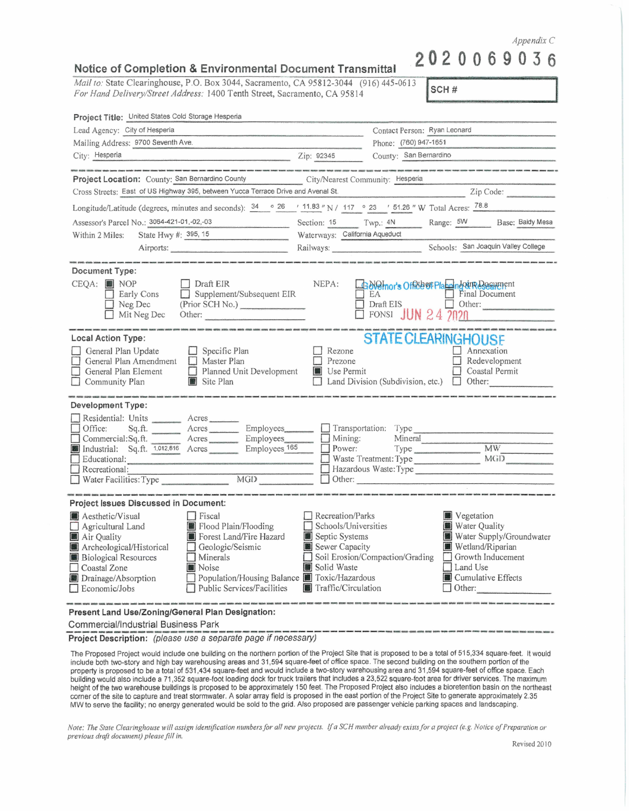*Appendix C* 

## **Notice of Completion** & **Environmental Document Transmittal 2020069036**

*Mail to:* State Clearinghouse, P.O. Box 3044, Sacramento; CA 95812-3044 (916) 445-0613 *For Hand Delivery/Street Address:* 1400 Tenth Street, Sacramento, CA 95814

SCH#

| Project Title: United States Cold Storage Hesperia                                                                                                                                                                                                                                                                 |                                                                                                                                                                                                                                            |                                                                                                             |                                                                                                                                                                          |
|--------------------------------------------------------------------------------------------------------------------------------------------------------------------------------------------------------------------------------------------------------------------------------------------------------------------|--------------------------------------------------------------------------------------------------------------------------------------------------------------------------------------------------------------------------------------------|-------------------------------------------------------------------------------------------------------------|--------------------------------------------------------------------------------------------------------------------------------------------------------------------------|
| Lead Agency: City of Hesperia                                                                                                                                                                                                                                                                                      |                                                                                                                                                                                                                                            | Contact Person: Ryan Leonard                                                                                |                                                                                                                                                                          |
| Mailing Address: 9700 Seventh Ave.                                                                                                                                                                                                                                                                                 |                                                                                                                                                                                                                                            | Phone: (760) 947-1651                                                                                       |                                                                                                                                                                          |
| City: Hesperia                                                                                                                                                                                                                                                                                                     | Zip: 92345                                                                                                                                                                                                                                 | County: San Bernardino                                                                                      |                                                                                                                                                                          |
|                                                                                                                                                                                                                                                                                                                    |                                                                                                                                                                                                                                            |                                                                                                             |                                                                                                                                                                          |
| Project Location: County: San Bernardino County City/Nearest Community: Hesperia                                                                                                                                                                                                                                   |                                                                                                                                                                                                                                            |                                                                                                             |                                                                                                                                                                          |
| Cross Streets: East of US Highway 395, between Yucca Terrace Drive and Avenal St. Zip Code: Zip Code:                                                                                                                                                                                                              |                                                                                                                                                                                                                                            |                                                                                                             |                                                                                                                                                                          |
| Longitude/Latitude (degrees, minutes and seconds): $\frac{34}{ }$ ° $\frac{26}{ }$ ' 11.83 " N / 117 ° 23 ' 51.26 " W Total Acres: 78.8                                                                                                                                                                            |                                                                                                                                                                                                                                            |                                                                                                             |                                                                                                                                                                          |
| Assessor's Parcel No.: 3064-421-01,-02,-03                                                                                                                                                                                                                                                                         |                                                                                                                                                                                                                                            | Section: 15 Twp.: 4N Range: 5W Base: Baldy Mesa                                                             |                                                                                                                                                                          |
| State Hwy #: 395, 15<br>Within 2 Miles:                                                                                                                                                                                                                                                                            | Waterways: California Aqueduct                                                                                                                                                                                                             |                                                                                                             |                                                                                                                                                                          |
| Airports:                                                                                                                                                                                                                                                                                                          |                                                                                                                                                                                                                                            |                                                                                                             |                                                                                                                                                                          |
| Document Type:                                                                                                                                                                                                                                                                                                     |                                                                                                                                                                                                                                            |                                                                                                             |                                                                                                                                                                          |
| $CEQA:$ MOP<br>Draft EIR<br>$\Box$ Supplement/Subsequent EIR<br>Early Cons<br>$\Box$ Neg Dec<br>(Prior SCH No.)<br>$\Box$ Mit Neg Dec<br>Other:                                                                                                                                                                    | NEPA:<br>.<br>In a series and the series of the company of the series of the company of the company of the series of the series of the series of the series of the series of the series of the series of the series of the series of the s | See Plann's Office of Planning our Reservement<br>$A$ EA Draft EIS<br>$\Box$ FONSI JUN 24 $\overline{2020}$ | Final Document<br>$\Box$ Other:<br>.<br>Ideis 202000: negaziti editedii anniban annony stanific piaggin: yangini izinimi izinimi izi                                     |
| Local Action Type:<br>General Plan Update<br>$\Box$ Specific Plan<br>General Plan Amendment<br>$\Box$ Master Plan<br>$\Box$ Planned Unit Development<br>General Plan Element<br>$\Box$ Community Plan<br>Site Plan                                                                                                 | $\Box$ Rezone<br>$\Box$ Prezone<br><b>Use Permit</b>                                                                                                                                                                                       | <b>STATE CLEARINGHOUSE</b><br>$\Box$ Land Division (Subdivision, etc.) $\Box$ Other:                        | Annexation<br>Redevelopment<br>$\Box$ Coastal Permit                                                                                                                     |
| Development Type:                                                                                                                                                                                                                                                                                                  |                                                                                                                                                                                                                                            |                                                                                                             |                                                                                                                                                                          |
| Residential: Units __________ Acres<br>Office:<br>Sq.ft. <u>Acres</u> Acres Employees<br>Commercial:Sq.ft. Acres Employees<br>Industrial: Sq.ft. 1,012,816 Acres Employees 165<br>Educational:<br>$\Box$ Recreational:                                                                                             |                                                                                                                                                                                                                                            | Mining: Mineral<br>Power: Type<br>Waste Treatment: Type MGD<br>Hazardous Waste: Type<br>$\Box$ Other:       |                                                                                                                                                                          |
| Project Issues Discussed in Document:                                                                                                                                                                                                                                                                              |                                                                                                                                                                                                                                            |                                                                                                             |                                                                                                                                                                          |
| Aesthetic/Visual<br>Fiscal<br>Flood Plain/Flooding<br>$\Box$ Agricultural Land<br>Forest Land/Fire Hazard<br>Air Quality<br>Archeological/Historical<br>Geologic/Seismic<br><b>Biological Resources</b><br>Minerals<br>Noise<br>Coastal Zone<br>Drainage/Absorption<br>Public Services/Facilities<br>Economic/Jobs | Recreation/Parks<br>Schools/Universities<br>Septic Systems<br>Sewer Capacity<br>Solid Waste<br>□ Population/Housing Balance ■ Toxic/Hazardous<br>Traffic/Circulation                                                                       | Soil Erosion/Compaction/Grading                                                                             | <b>Vegetation</b><br>Water Quality<br>Water Supply/Groundwater<br>Wetland/Riparian<br>$\Box$ Growth Inducement<br>$\Box$ Land Use<br><b>Cumulative Effects</b><br>Other: |
| Present Land Use/Zoning/General Plan Designation:                                                                                                                                                                                                                                                                  |                                                                                                                                                                                                                                            |                                                                                                             |                                                                                                                                                                          |

Commercial/Industrial Business Park

Project Description: (please use a separate page if necessary)

The Proposed Project would include one building on the northern portion of the Project Site that is proposed to be a total of 515,334 square-feet. It would include both two-story and high bay warehousing areas and 31,594 square-feet of office space. The second building on the southern portion of the property is proposed to be a total of 531,434 square-feet and would include a two-story warehousing area and 31,594 square-feet of office space. Each building would also include a 71 ,352 square-foot loading dock for truck trailers that includes a 23,522 square-foot area for driver services. The maximum height of the two warehouse buildings is proposed to be approximately 150 feet. The Proposed Project also includes a bioretention basin on the northeast corner of the site to capture and treat stormwater. A solar array field is proposed in the east portion of the Project Site to generate approximately 2.35 MW to serve the facility; no energy generated would be sold to the grid. Also proposed are passenger vehicle parking spaces and landscaping.

*Note: The State Clearinghouse will assign identification numbers for all new projects.* if *a SCH number already exists for a project (e ,g. Notice of Preparation or previous draft document) please* jilf *in.*